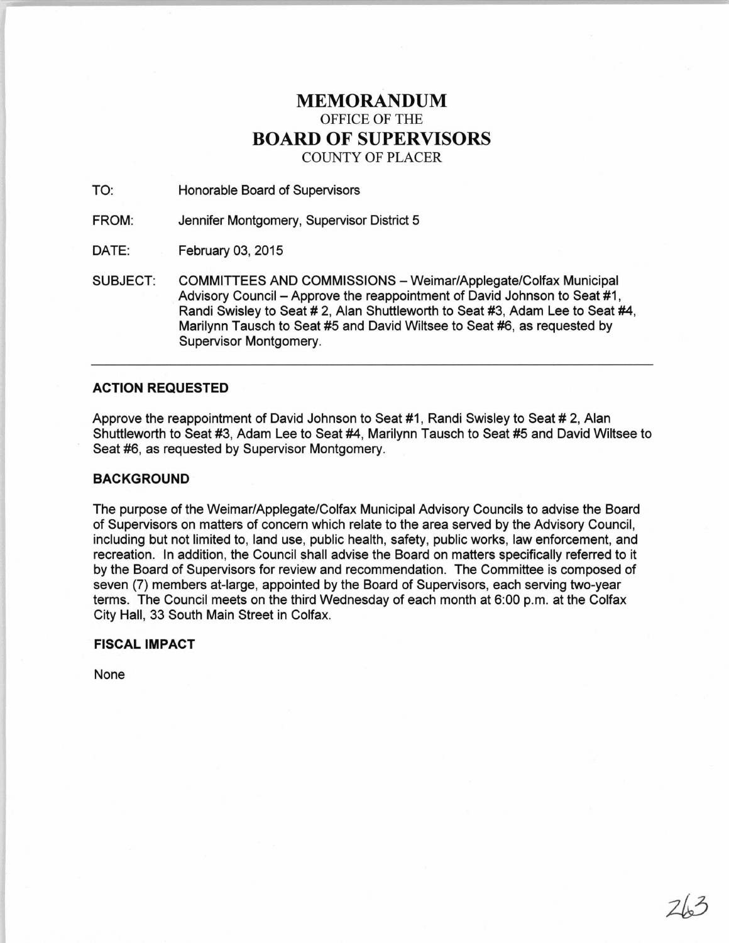# **MEMORANDUM**  OFFICE OF THE **BOARD OF SUPERVISORS**  COUNTY OF PLACER

TO: Honorable Board of Supervisors

FROM: Jennifer Montgomery, Supervisor District 5

DATE: February 03, 2015

SUBJECT: COMMITTEES AND COMMISSIONS - Weimar/Applegate/Colfax Municipal Advisory Council - Approve the reappointment of David Johnson to Seat #1, Randi Swisley to Seat # 2, Alan Shuttleworth to Seat #3, Adam Lee to Seat #4, Marilynn Tausch to Seat #5 and David Wiltsee to Seat #6, as requested by Supervisor Montgomery.

## **ACTION REQUESTED**

Approve the reappointment of David Johnson to Seat #1 , Randi Swisley to Seat # 2, Alan Shuttleworth to Seat #3, Adam Lee to Seat #4, Marilynn Tausch to Seat #5 and David Wiltsee to Seat #6, as requested by Supervisor Montgomery.

### **BACKGROUND**

The purpose of the Weimar/Applegate/Colfax Municipal Advisory Councils to advise the Board of Supervisors on matters of concern which relate to the area served by the Advisory Council, including but not limited to, land use, public health, safety, public works, law enforcement, and recreation. In addition, the Council shall advise the Board on matters specifically referred to it by the Board of Supervisors for review and recommendation. The Committee is composed of seven (7) members at-large, appointed by the Board of Supervisors, each serving two-year terms. The Council meets on the third Wednesday of each month at 6:00 p.m. at the Colfax City Hall, 33 South Main Street in Colfax.

# **FISCAL IMPACT**

None